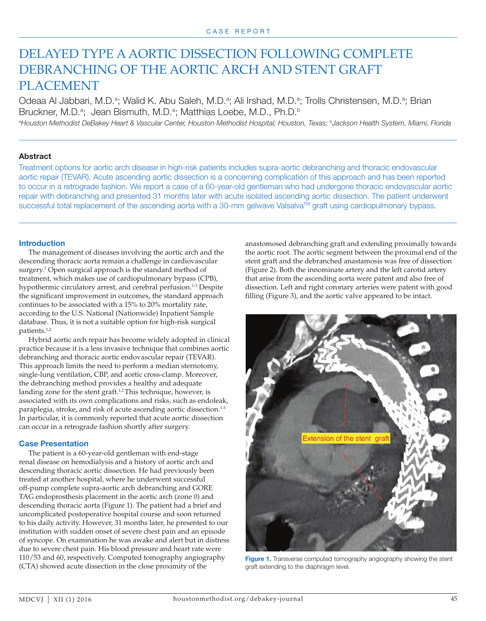# DELAYED TYPE A AORTIC DISSECTION FOLLOWING COMPLETE DEBRANCHING OF THE AORTIC ARCH AND STENT GRAFT PLACEMENT

Odeaa Al Jabbari, M.D.<sup>a</sup>; Walid K. Abu Saleh, M.D.<sup>a</sup>; Ali Irshad, M.D.<sup>a</sup>; Trolls Christensen, M.D.<sup>a</sup>; Brian Bruckner, M.D.<sup>a</sup>; Jean Bismuth, M.D.<sup>a</sup>; Matthias Loebe, M.D., Ph.D.<sup>b</sup> *a Houston Methodist DeBakey Heart & Vascular Center, Houston Methodist Hospital, Houston, Texas; bJackson Health System, Miami, Florida*

## **Abstract**

Treatment options for aortic arch disease in high-risk patients includes supra-aortic debranching and thoracic endovascular aortic repair (TEVAR). Acute ascending aortic dissection is a concerning complication of this approach and has been reported to occur in a retrograde fashion. We report a case of a 60-year-old gentleman who had undergone thoracic endovascular aortic repair with debranching and presented 31 months later with acute isolated ascending aortic dissection. The patient underwent successful total replacement of the ascending aorta with a 30-mm gelwave ValsalvaTM graft using cardiopulmonary bypass.

### **Introduction**

The management of diseases involving the aortic arch and the descending thoracic aorta remain a challenge in cardiovascular surgery.<sup>1</sup> Open surgical approach is the standard method of treatment, which makes use of cardiopulmonary bypass (CPB), hypothermic circulatory arrest, and cerebral perfusion.<sup>1-3</sup> Despite the significant improvement in outcomes, the standard approach continues to be associated with a 15% to 20% mortality rate, according to the U.S. National (Nationwide) Inpatient Sample database. Thus, it is not a suitable option for high-risk surgical patients.1,2

Hybrid aortic arch repair has become widely adopted in clinical practice because it is a less invasive technique that combines aortic debranching and thoracic aortic endovascular repair (TEVAR). This approach limits the need to perform a median sternotomy, single-lung ventilation, CBP, and aortic cross-clamp. Moreover, the debranching method provides a healthy and adequate landing zone for the stent graft.<sup>1,2</sup> This technique, however, is associated with its own complications and risks, such as endoleak, paraplegia, stroke, and risk of acute ascending aortic dissection.<sup>1-3</sup> In particular, it is commonly reported that acute aortic dissection can occur in a retrograde fashion shortly after surgery.

### **Case Presentation**

The patient is a 60-year-old gentleman with end-stage renal disease on hemodialysis and a history of aortic arch and descending thoracic aortic dissection. He had previously been treated at another hospital, where he underwent successful off-pump complete supra-aortic arch debranching and GORE TAG endoprosthesis placement in the aortic arch (zone 0) and descending thoracic aorta (Figure 1). The patient had a brief and uncomplicated postoperative hospital course and soon returned to his daily activity. However, 31 months later, he presented to our institution with sudden onset of severe chest pain and an episode of syncope. On examination he was awake and alert but in distress due to severe chest pain. His blood pressure and heart rate were 110/53 and 60, respectively. Computed tomography angiography (CTA) showed acute dissection in the close proximity of the

anastomosed debranching graft and extending proximally towards the aortic root. The aortic segment between the proximal end of the stent graft and the debranched anastamosis was free of dissection (Figure 2). Both the innominate artery and the left carotid artery that arise from the ascending aorta were patent and also free of dissection. Left and right coronary arteries were patent with good filling (Figure 3), and the aortic valve appeared to be intact.



**Figure 1.** Transverse computed tomography angiography showing the stent graft extending to the diaphragm level.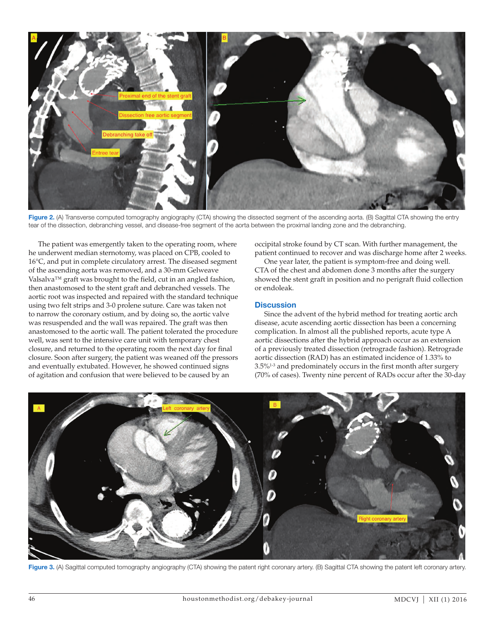

**Figure 2.** (A) Transverse computed tomography angiography (CTA) showing the dissected segment of the ascending aorta. (B) Sagittal CTA showing the entry tear of the dissection, debranching vessel, and disease-free segment of the aorta between the proximal landing zone and the debranching.

The patient was emergently taken to the operating room, where he underwent median sternotomy, was placed on CPB, cooled to 16°C, and put in complete circulatory arrest. The diseased segment of the ascending aorta was removed, and a 30-mm Gelweave Valsalva™ graft was brought to the field, cut in an angled fashion, then anastomosed to the stent graft and debranched vessels. The aortic root was inspected and repaired with the standard technique using two felt strips and 3-0 prolene suture. Care was taken not to narrow the coronary ostium, and by doing so, the aortic valve was resuspended and the wall was repaired. The graft was then anastomosed to the aortic wall. The patient tolerated the procedure well, was sent to the intensive care unit with temporary chest closure, and returned to the operating room the next day for final closure. Soon after surgery, the patient was weaned off the pressors and eventually extubated. However, he showed continued signs of agitation and confusion that were believed to be caused by an

occipital stroke found by CT scan. With further management, the patient continued to recover and was discharge home after 2 weeks.

One year later, the patient is symptom-free and doing well. CTA of the chest and abdomen done 3 months after the surgery showed the stent graft in position and no perigraft fluid collection or endoleak.

### **Discussion**

Since the advent of the hybrid method for treating aortic arch disease, acute ascending aortic dissection has been a concerning complication. In almost all the published reports, acute type A aortic dissections after the hybrid approach occur as an extension of a previously treated dissection (retrograde fashion). Retrograde aortic dissection (RAD) has an estimated incidence of 1.33% to 3.5%1-3 and predominately occurs in the first month after surgery (70% of cases). Twenty nine percent of RADs occur after the 30-day

![](_page_1_Picture_7.jpeg)

**Figure 3.** (A) Sagittal computed tomography angiography (CTA) showing the patent right coronary artery. (B) Sagittal CTA showing the patent left coronary artery.